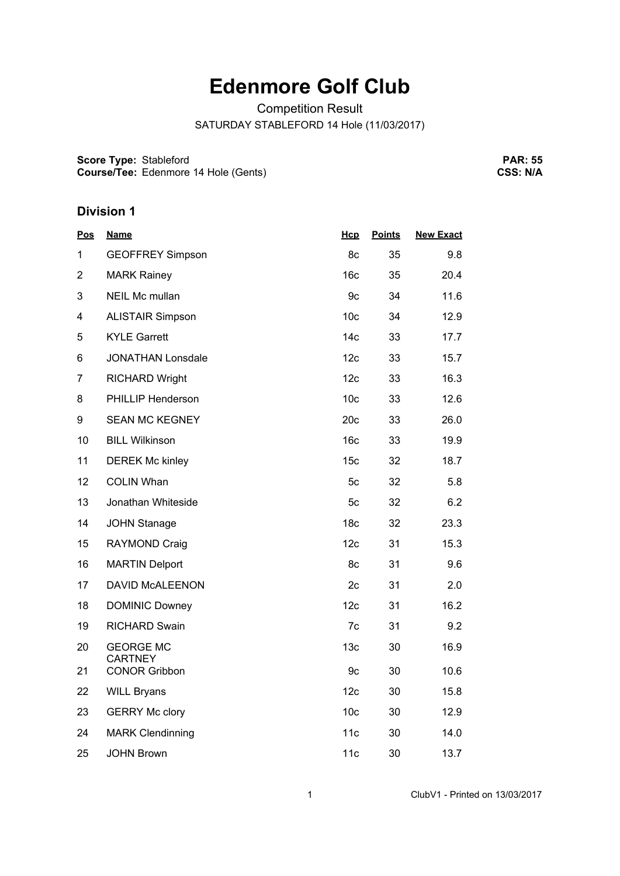# **Edenmore Golf Club**

Competition Result

SATURDAY STABLEFORD 14 Hole (11/03/2017)

**Score Type: Course/Tee:** Stableford Edenmore 14 Hole (Gents)

**PAR: 55 CSS: N/A**

| <u>Pos</u>     | <u>Name</u>                        | <u>Нср</u>      | <b>Points</b> | <b>New Exact</b> |
|----------------|------------------------------------|-----------------|---------------|------------------|
| 1              | <b>GEOFFREY Simpson</b>            | 8c              | 35            | 9.8              |
| 2              | <b>MARK Rainey</b>                 | 16 <sub>c</sub> | 35            | 20.4             |
| 3              | <b>NEIL Mc mullan</b>              | 9c              | 34            | 11.6             |
| 4              | <b>ALISTAIR Simpson</b>            | 10 <sub>c</sub> | 34            | 12.9             |
| 5              | <b>KYLE Garrett</b>                | 14c             | 33            | 17.7             |
| 6              | <b>JONATHAN Lonsdale</b>           | 12c             | 33            | 15.7             |
| $\overline{7}$ | <b>RICHARD Wright</b>              | 12c             | 33            | 16.3             |
| 8              | <b>PHILLIP Henderson</b>           | 10 <sub>c</sub> | 33            | 12.6             |
| 9              | <b>SEAN MC KEGNEY</b>              | 20c             | 33            | 26.0             |
| 10             | <b>BILL Wilkinson</b>              | 16 <sub>c</sub> | 33            | 19.9             |
| 11             | <b>DEREK Mc kinley</b>             | 15 <sub>c</sub> | 32            | 18.7             |
| 12             | <b>COLIN Whan</b>                  | 5c              | 32            | 5.8              |
| 13             | Jonathan Whiteside                 | 5c              | 32            | 6.2              |
| 14             | <b>JOHN Stanage</b>                | 18 <sub>c</sub> | 32            | 23.3             |
| 15             | RAYMOND Craig                      | 12c             | 31            | 15.3             |
| 16             | <b>MARTIN Delport</b>              | 8c              | 31            | 9.6              |
| 17             | <b>DAVID McALEENON</b>             | 2c              | 31            | 2.0              |
| 18             | <b>DOMINIC Downey</b>              | 12c             | 31            | 16.2             |
| 19             | <b>RICHARD Swain</b>               | 7c              | 31            | 9.2              |
| 20             | <b>GEORGE MC</b><br><b>CARTNEY</b> | 13 <sub>c</sub> | 30            | 16.9             |
| 21             | <b>CONOR Gribbon</b>               | 9c              | 30            | 10.6             |
| 22             | <b>WILL Bryans</b>                 | 12c             | 30            | 15.8             |
| 23             | <b>GERRY Mc clory</b>              | 10 <sub>c</sub> | 30            | 12.9             |
| 24             | <b>MARK Clendinning</b>            | 11c             | 30            | 14.0             |
| 25             | <b>JOHN Brown</b>                  | 11c             | 30            | 13.7             |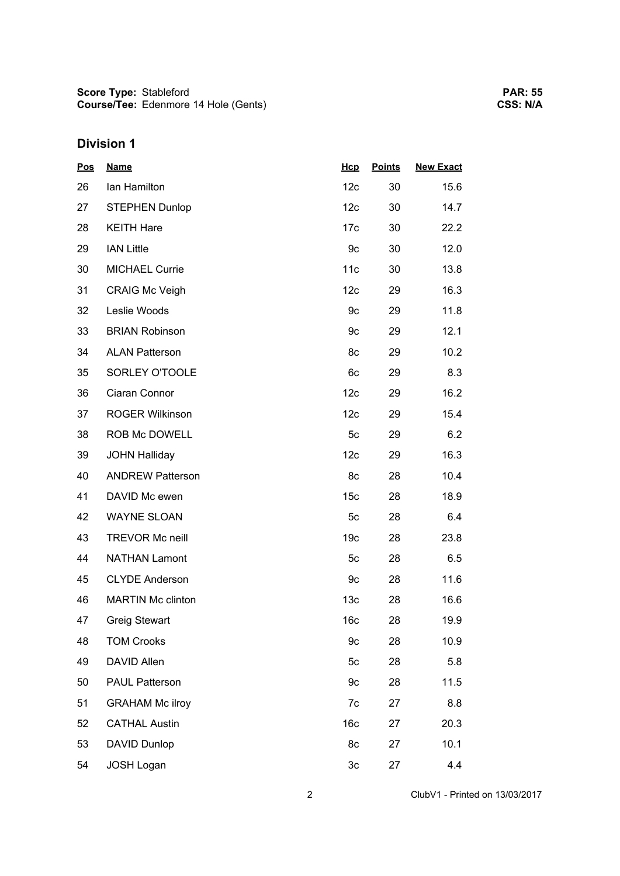| <b>Pos</b> | <b>Name</b>              | Hcp             | <b>Points</b> | <b>New Exact</b> |
|------------|--------------------------|-----------------|---------------|------------------|
| 26         | Ian Hamilton             | 12 <sub>c</sub> | 30            | 15.6             |
| 27         | <b>STEPHEN Dunlop</b>    | 12 <sub>c</sub> | 30            | 14.7             |
| 28         | <b>KEITH Hare</b>        | 17 <sub>c</sub> | 30            | 22.2             |
| 29         | <b>IAN Little</b>        | 9c              | 30            | 12.0             |
| 30         | <b>MICHAEL Currie</b>    | 11c             | 30            | 13.8             |
| 31         | <b>CRAIG Mc Veigh</b>    | 12 <sub>c</sub> | 29            | 16.3             |
| 32         | Leslie Woods             | 9c              | 29            | 11.8             |
| 33         | <b>BRIAN Robinson</b>    | 9с              | 29            | 12.1             |
| 34         | <b>ALAN Patterson</b>    | 8c              | 29            | 10.2             |
| 35         | SORLEY O'TOOLE           | 6c              | 29            | 8.3              |
| 36         | Ciaran Connor            | 12c             | 29            | 16.2             |
| 37         | <b>ROGER Wilkinson</b>   | 12c             | 29            | 15.4             |
| 38         | ROB Mc DOWELL            | 5 <sub>c</sub>  | 29            | 6.2              |
| 39         | <b>JOHN Halliday</b>     | 12c             | 29            | 16.3             |
| 40         | <b>ANDREW Patterson</b>  | 8c              | 28            | 10.4             |
| 41         | DAVID Mc ewen            | 15 <sub>c</sub> | 28            | 18.9             |
| 42         | <b>WAYNE SLOAN</b>       | 5 <sub>c</sub>  | 28            | 6.4              |
| 43         | <b>TREVOR Mc neill</b>   | 19 <sub>c</sub> | 28            | 23.8             |
| 44         | <b>NATHAN Lamont</b>     | 5 <sub>c</sub>  | 28            | 6.5              |
| 45         | <b>CLYDE Anderson</b>    | 9c              | 28            | 11.6             |
| 46         | <b>MARTIN Mc clinton</b> | 13 <sub>c</sub> | 28            | 16.6             |
| 47         | <b>Greig Stewart</b>     | 16 <sub>c</sub> | 28            | 19.9             |
| 48         | <b>TOM Crooks</b>        | 9c              | 28            | 10.9             |
| 49         | <b>DAVID Allen</b>       | 5c              | 28            | 5.8              |
| 50         | <b>PAUL Patterson</b>    | 9c              | 28            | 11.5             |
| 51         | <b>GRAHAM Mc ilroy</b>   | 7c              | 27            | 8.8              |
| 52         | <b>CATHAL Austin</b>     | 16 <sub>c</sub> | 27            | 20.3             |
| 53         | DAVID Dunlop             | 8c              | 27            | 10.1             |
| 54         | <b>JOSH Logan</b>        | 3c              | 27            | 4.4              |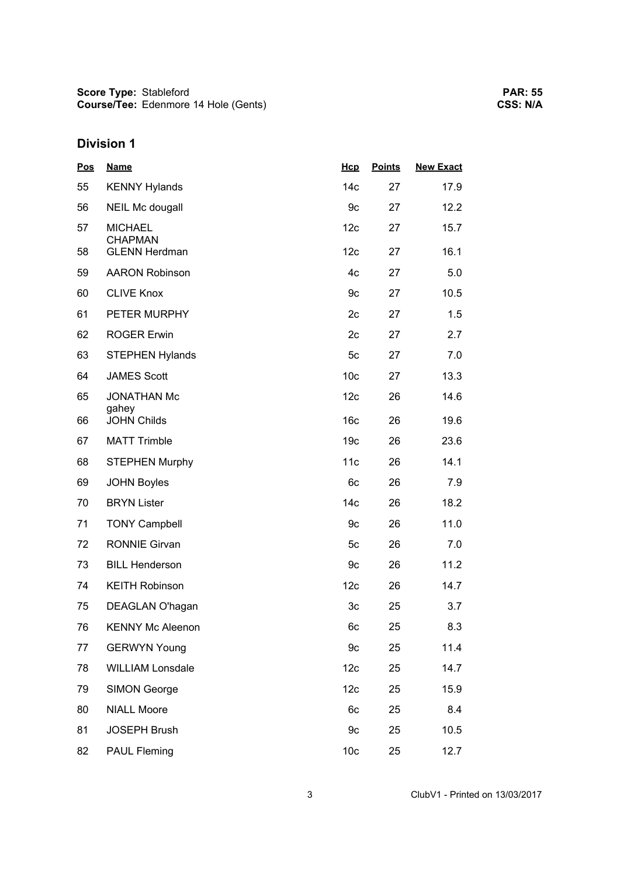| <u>Pos</u> | <b>Name</b>                      | Hcp             | <b>Points</b> | <b>New Exact</b> |
|------------|----------------------------------|-----------------|---------------|------------------|
| 55         | <b>KENNY Hylands</b>             | 14 <sub>c</sub> | 27            | 17.9             |
| 56         | <b>NEIL Mc dougall</b>           | 9c              | 27            | 12.2             |
| 57         | <b>MICHAEL</b><br><b>CHAPMAN</b> | 12c             | 27            | 15.7             |
| 58         | <b>GLENN Herdman</b>             | 12c             | 27            | 16.1             |
| 59         | <b>AARON Robinson</b>            | 4c              | 27            | 5.0              |
| 60         | <b>CLIVE Knox</b>                | 9c              | 27            | 10.5             |
| 61         | PETER MURPHY                     | 2c              | 27            | 1.5              |
| 62         | <b>ROGER Erwin</b>               | 2c              | 27            | 2.7              |
| 63         | <b>STEPHEN Hylands</b>           | 5c              | 27            | 7.0              |
| 64         | <b>JAMES Scott</b>               | 10 <sub>c</sub> | 27            | 13.3             |
| 65         | <b>JONATHAN Mc</b>               | 12c             | 26            | 14.6             |
| 66         | gahey<br><b>JOHN Childs</b>      | 16 <sub>c</sub> | 26            | 19.6             |
| 67         | <b>MATT Trimble</b>              | 19 <sub>c</sub> | 26            | 23.6             |
| 68         | <b>STEPHEN Murphy</b>            | 11c             | 26            | 14.1             |
| 69         | <b>JOHN Boyles</b>               | 6c              | 26            | 7.9              |
| 70         | <b>BRYN Lister</b>               | 14 <sub>c</sub> | 26            | 18.2             |
| 71         | <b>TONY Campbell</b>             | 9c              | 26            | 11.0             |
| 72         | <b>RONNIE Girvan</b>             | 5c              | 26            | 7.0              |
| 73         | <b>BILL Henderson</b>            | 9c              | 26            | 11.2             |
| 74         | <b>KEITH Robinson</b>            | 12c             | 26            | 14.7             |
| 75         | DEAGLAN O'hagan                  | 3c              | 25            | 3.7              |
| 76         | <b>KENNY Mc Aleenon</b>          | 6c              | 25            | 8.3              |
| 77         | <b>GERWYN Young</b>              | 9c              | 25            | 11.4             |
| 78         | <b>WILLIAM Lonsdale</b>          | 12 <sub>c</sub> | 25            | 14.7             |
| 79         | <b>SIMON George</b>              | 12 <sub>c</sub> | 25            | 15.9             |
| 80         | <b>NIALL Moore</b>               | 6c              | 25            | 8.4              |
| 81         | <b>JOSEPH Brush</b>              | 9c              | 25            | 10.5             |
| 82         | <b>PAUL Fleming</b>              | 10 <sub>c</sub> | 25            | 12.7             |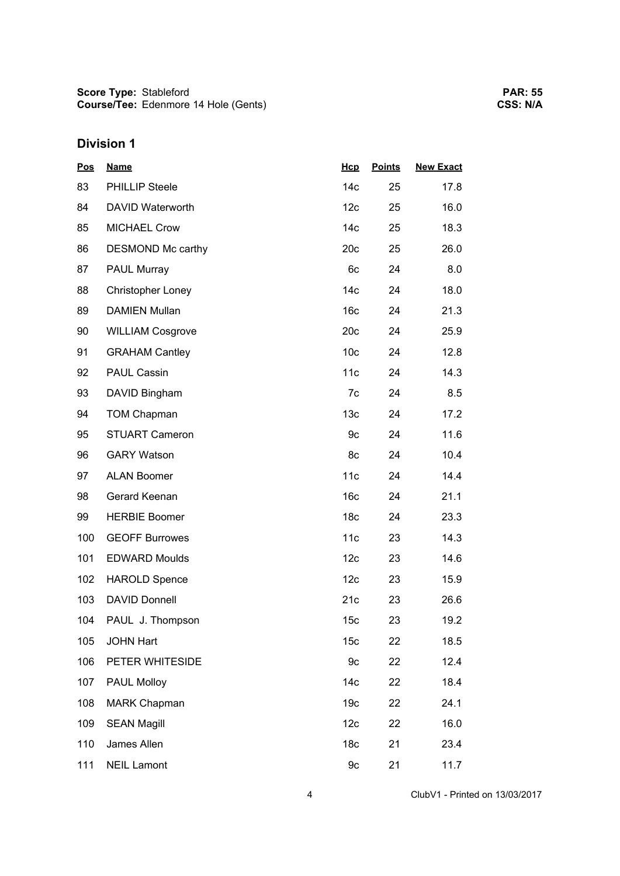| <u>Pos</u> | <b>Name</b>             | Hcp             | <b>Points</b> | <b>New Exact</b> |
|------------|-------------------------|-----------------|---------------|------------------|
| 83         | PHILLIP Steele          | 14 <sub>c</sub> | 25            | 17.8             |
| 84         | DAVID Waterworth        | 12 <sub>c</sub> | 25            | 16.0             |
| 85         | <b>MICHAEL Crow</b>     | 14 <sub>c</sub> | 25            | 18.3             |
| 86         | DESMOND Mc carthy       | 20c             | 25            | 26.0             |
| 87         | PAUL Murray             | 6c              | 24            | 8.0              |
| 88         | Christopher Loney       | 14 <sub>c</sub> | 24            | 18.0             |
| 89         | <b>DAMIEN Mullan</b>    | 16 <sub>c</sub> | 24            | 21.3             |
| 90         | <b>WILLIAM Cosgrove</b> | 20c             | 24            | 25.9             |
| 91         | <b>GRAHAM Cantley</b>   | 10 <sub>c</sub> | 24            | 12.8             |
| 92         | <b>PAUL Cassin</b>      | 11c             | 24            | 14.3             |
| 93         | DAVID Bingham           | 7c              | 24            | 8.5              |
| 94         | <b>TOM Chapman</b>      | 13 <sub>c</sub> | 24            | 17.2             |
| 95         | <b>STUART Cameron</b>   | 9c              | 24            | 11.6             |
| 96         | <b>GARY Watson</b>      | 8c              | 24            | 10.4             |
| 97         | <b>ALAN Boomer</b>      | 11c             | 24            | 14.4             |
| 98         | Gerard Keenan           | 16 <sub>c</sub> | 24            | 21.1             |
| 99         | <b>HERBIE Boomer</b>    | 18 <sub>c</sub> | 24            | 23.3             |
| 100        | <b>GEOFF Burrowes</b>   | 11c             | 23            | 14.3             |
| 101        | <b>EDWARD Moulds</b>    | 12c             | 23            | 14.6             |
| 102        | <b>HAROLD Spence</b>    | 12c             | 23            | 15.9             |
| 103        | <b>DAVID Donnell</b>    | 21c             | 23            | 26.6             |
| 104        | PAUL J. Thompson        | 15 <sub>c</sub> | 23            | 19.2             |
| 105        | <b>JOHN Hart</b>        | 15 <sub>c</sub> | 22            | 18.5             |
| 106        | PETER WHITESIDE         | 9c              | 22            | 12.4             |
| 107        | PAUL Molloy             | 14 <sub>c</sub> | 22            | 18.4             |
| 108        | <b>MARK Chapman</b>     | 19 <sub>c</sub> | 22            | 24.1             |
| 109        | <b>SEAN Magill</b>      | 12c             | 22            | 16.0             |
| 110        | James Allen             | 18 <sub>c</sub> | 21            | 23.4             |
| 111        | <b>NEIL Lamont</b>      | 9c              | 21            | 11.7             |